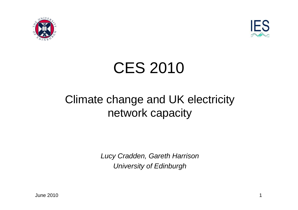



### CES 2010

#### Climate change and UK electricity network capacity

Lucy Cradden, Gareth HarrisonUniversity of Edinburgh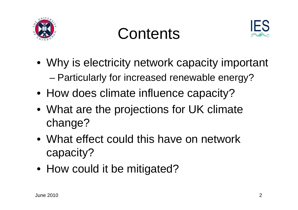

### **Contents**



- Why is electricity network capacity important –Particularly for increased renewable energy?
- How does climate influence capacity?
- What are the projections for UK climate change?
- What effect could this have on network capacity?
- How could it be mitigated?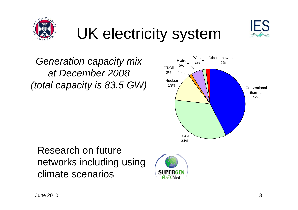

# UK electricity system





#### Research on future networks including usingclimate scenarios



**IES**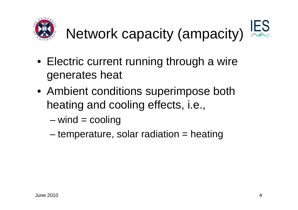



- Electric current running through a wire generates heat
- Ambient conditions superimpose both heating and cooling effects, i.e.,
	- –wind = cooling
	- –temperature, solar radiation = heating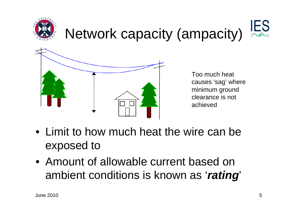

#### IES Network capacity (ampacity)



Too much heat causes 'sag' where minimum ground clearance is not achieved

- Limit to how much heat the wire can be exposed to
- Amount of allowable current based on ambient conditions is known as '**rating**'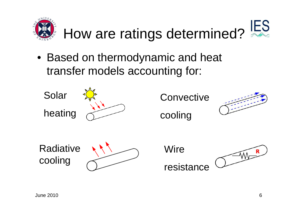

#### **IES** How are ratings determined?

• Based on thermodynamic and heat transfer models accounting for:

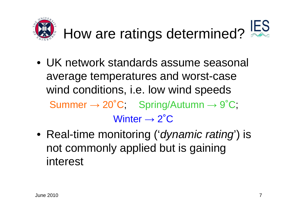

# How are ratings determined?

- UK network standards assume seasonal average temperatures and worst-case wind conditions, i.e. low wind speeds $\textsf{Summer} \rightarrow 20^{\circ}\textsf{C}; \quad \textsf{Spring/Autumn} \rightarrow 9^{\circ}\textsf{C};$  $W$ inter  $\rightarrow$  2 $^\circ{\rm C}$
- Real-time monitoring ('*dynamic rating*') is not commonly applied but is gaining interest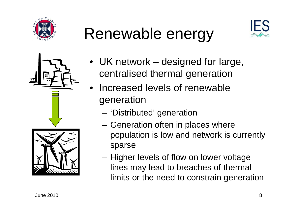

# Renewable energy





- UK network designed for large, centralised thermal generation
- • Increased levels of renewable generation
	- 'Distributed' generation
	- Generation often in places where population is low and network is currently sparse
	- Higher levels of flow on lower voltage lines may lead to breaches of thermal limits or the need to constrain generation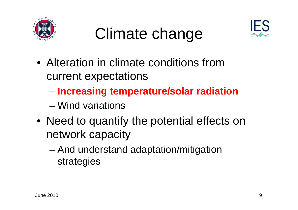

### Climate change



- Alteration in climate conditions from current expectations
	- and the state of the state **Increasing temperature/solar radiation**
	- –Wind variations
- Need to quantify the potential effects on network capacity
	- and the state of the state And understand adaptation/mitigation strategies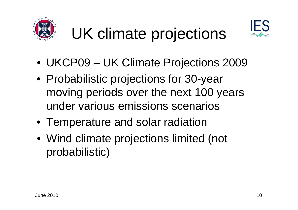

# UK climate projections



- UKCP09 UK Climate Projections 2009
- Probabilistic projections for 30-year moving periods over the next 100 years under various emissions scenarios
- Temperature and solar radiation
- Wind climate projections limited (not probabilistic)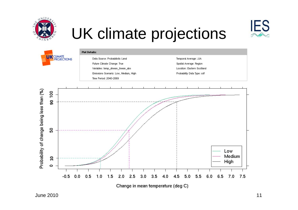

# UK climate projections

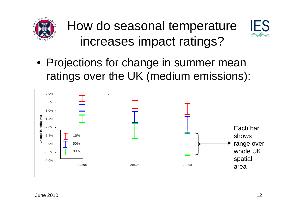

How do seasonal temperature increases impact ratings?



• Projections for change in summer mean ratings over the UK (medium emissions):

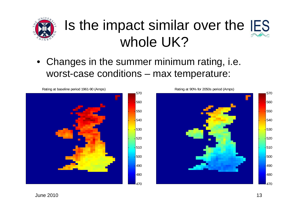

#### Is the impact similar over the whole UK?

• Changes in the summer minimum rating, i.e. worst-case conditions – max temperature:



Rating at baseline period 1961-90 (Amps)

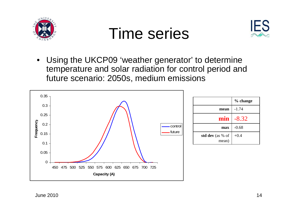

#### Time series



 $\bullet$  Using the UKCP09 'weather generator' to determine temperature and solar radiation for control period and future scenario: 2050s, medium emissions

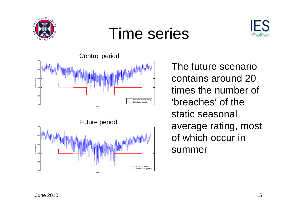

#### Time series







The future scenario contains around 20 times the number of 'breaches' of the static seasonal average rating, most of which occur in summer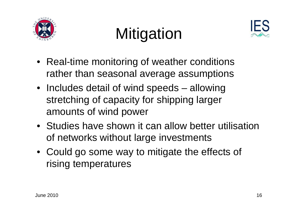

# **Mitigation**



- Real-time monitoring of weather conditions rather than seasonal average assumptions
- Includes detail of wind speeds allowing stretching of capacity for shipping larger amounts of wind power
- Studies have shown it can allow better utilisationof networks without large investments
- Could go some way to mitigate the effects of rising temperatures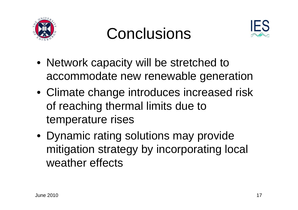





- Network capacity will be stretched to accommodate new renewable generation
- Climate change introduces increased risk of reaching thermal limits due to temperature rises
- Dynamic rating solutions may provide mitigation strategy by incorporating local weather effects